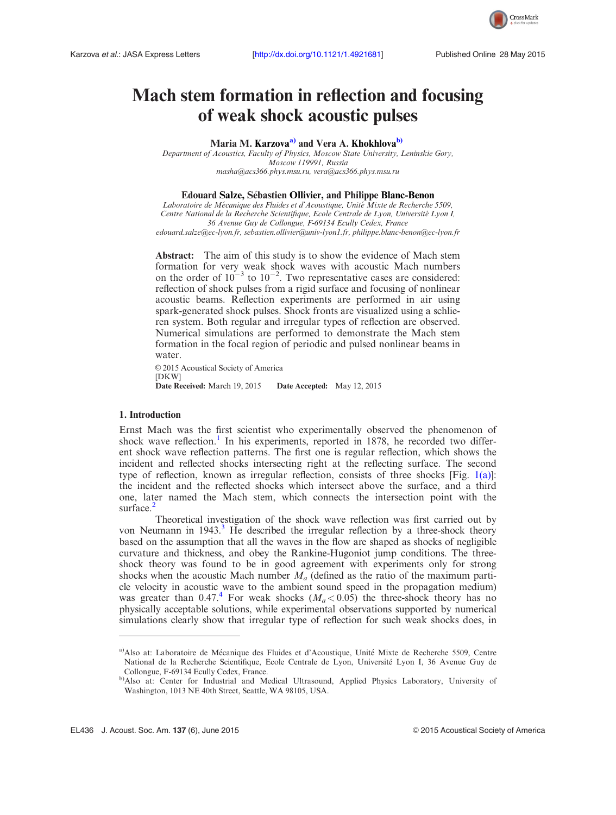

# Mach stem formation in reflection and focusing of weak shock acoustic pulses

Maria M. Karzova<sup>a)</sup> and Vera A. Khokhlova<sup>b)</sup>

Department of Acoustics, Faculty of Physics, Moscow State University, Leninskie Gory, Moscow 119991, Russia [masha@acs366.phys.msu.ru,](mailto:masha@acs366.phys.msu.ru) [vera@acs366.phys.msu.ru](mailto:vera@acs366.phys.msu.ru)

## Edouard Salze, Sébastien Ollivier, and Philippe Blanc-Benon

Laboratoire de Mécanique des Fluides et d'Acoustique, Unité Mixte de Recherche 5509, Centre National de la Recherche Scientifique, Ecole Centrale de Lyon, Université Lyon I, 36 Avenue Guy de Collongue, F-69134 Ecully Cedex, France [edouard.salze@ec-lyon.fr](mailto:edouard.salze@ec-lyon.fr), [sebastien.ollivier@univ-lyon1.fr](mailto:sebastien.ollivier@univ-lyon1.fr), [philippe.blanc-benon@ec-lyon.fr](mailto:philippe.blanc-benon@ec-lyon.fr)

Abstract: The aim of this study is to show the evidence of Mach stem formation for very weak shock waves with acoustic Mach numbers on the order of  $10^{-3}$  to  $10^{-2}$ . Two representative cases are considered: reflection of shock pulses from a rigid surface and focusing of nonlinear acoustic beams. Reflection experiments are performed in air using spark-generated shock pulses. Shock fronts are visualized using a schlieren system. Both regular and irregular types of reflection are observed. Numerical simulations are performed to demonstrate the Mach stem formation in the focal region of periodic and pulsed nonlinear beams in water.

© 2015 Acoustical Society of America [DKW] Date Received: March 19, 2015 Date Accepted: May 12, 2015

#### 1. Introduction

Ernst Mach was the first scientist who experimentally observed the phenomenon of shock wave reflection.<sup>[1](#page-6-0)</sup> In his experiments, reported in 1878, he recorded two different shock wave reflection patterns. The first one is regular reflection, which shows the incident and reflected shocks intersecting right at the reflecting surface. The second type of reflection, known as irregular reflection, consists of three shocks [Fig. [1\(a\)](#page-1-0)]: the incident and the reflected shocks which intersect above the surface, and a third one, later named the Mach stem, which connects the intersection point with the surface.<sup>[2](#page-6-0)</sup>

Theoretical investigation of the shock wave reflection was first carried out by von Neumann in  $1943<sup>3</sup>$  $1943<sup>3</sup>$  $1943<sup>3</sup>$  He described the irregular reflection by a three-shock theory based on the assumption that all the waves in the flow are shaped as shocks of negligible curvature and thickness, and obey the Rankine-Hugoniot jump conditions. The threeshock theory was found to be in good agreement with experiments only for strong shocks when the acoustic Mach number  $M_a$  (defined as the ratio of the maximum particle velocity in acoustic wave to the ambient sound speed in the propagation medium) was greater than 0.[4](#page-6-0)7.4 For weak shocks  $(M_a < 0.05)$  the three-shock theory has no physically acceptable solutions, while experimental observations supported by numerical simulations clearly show that irregular type of reflection for such weak shocks does, in

<sup>&</sup>lt;sup>a)</sup>Also at: Laboratoire de Mécanique des Fluides et d'Acoustique, Unité Mixte de Recherche 5509, Centre National de la Recherche Scientifique, Ecole Centrale de Lyon, Université Lyon I, 36 Avenue Guy de Collongue, F-69134 Ecully Cedex, France.

b)Also at: Center for Industrial and Medical Ultrasound, Applied Physics Laboratory, University of Washington, 1013 NE 40th Street, Seattle, WA 98105, USA.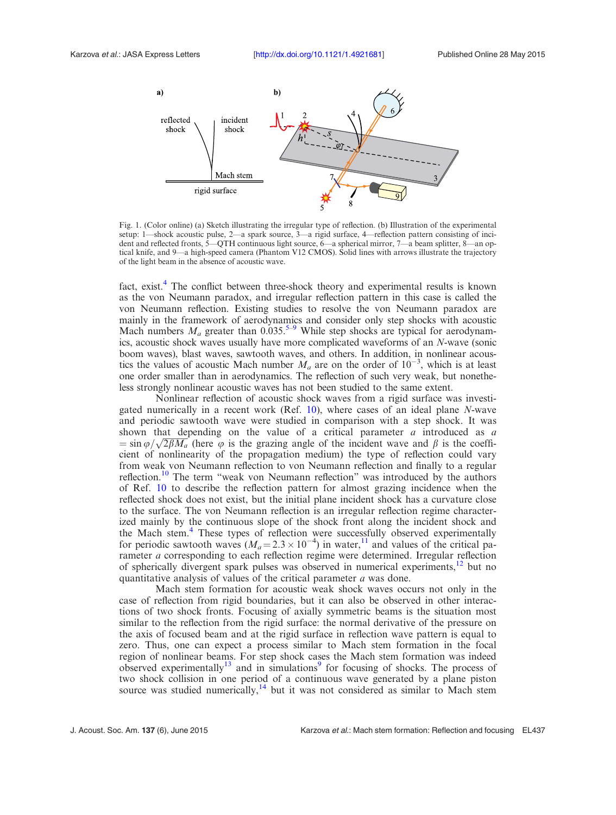<span id="page-1-0"></span>

Fig. 1. (Color online) (a) Sketch illustrating the irregular type of reflection. (b) Illustration of the experimental setup: 1—shock acoustic pulse, 2—a spark source, 3—a rigid surface, 4—reflection pattern consisting of incident and reflected fronts, 5—QTH continuous light source, 6—a spherical mirror, 7—a beam splitter, 8—an optical knife, and 9—a high-speed camera (Phantom V12 CMOS). Solid lines with arrows illustrate the trajectory of the light beam in the absence of acoustic wave.

fact, exist.<sup>4</sup> The conflict between three-shock theory and experimental results is known as the von Neumann paradox, and irregular reflection pattern in this case is called the von Neumann reflection. Existing studies to resolve the von Neumann paradox are mainly in the framework of aerodynamics and consider only step shocks with acoustic Mach numbers  $M_a$  greater than 0.035.<sup>5–9</sup> While step shocks are typical for aerodynamics, acoustic shock waves usually have more complicated waveforms of an N-wave (sonic boom waves), blast waves, sawtooth waves, and others. In addition, in nonlinear acoustics the values of acoustic Mach number  $M_a$  are on the order of  $10^{-3}$ , which is at least one order smaller than in aerodynamics. The reflection of such very weak, but nonetheless strongly nonlinear acoustic waves has not been studied to the same extent.

Nonlinear reflection of acoustic shock waves from a rigid surface was investigated numerically in a recent work (Ref. [10\)](#page-6-0), where cases of an ideal plane N-wave and periodic sawtooth wave were studied in comparison with a step shock. It was shown that depending on the value of a critical parameter  $a$  introduced as  $a$ shown that depending on the value of a critical parameter a introduced as a  $\sin \varphi / \sqrt{2 \beta M_a}$  (here  $\varphi$  is the grazing angle of the incident wave and  $\beta$  is the coefficient of nonlinearity of the propagation medium) the type of reflection could vary from weak von Neumann reflection to von Neumann reflection and finally to a regular reflection.<sup>[10](#page-6-0)</sup> The term "weak von Neumann reflection" was introduced by the authors of Ref. [10](#page-6-0) to describe the reflection pattern for almost grazing incidence when the reflected shock does not exist, but the initial plane incident shock has a curvature close to the surface. The von Neumann reflection is an irregular reflection regime characterized mainly by the continuous slope of the shock front along the incident shock and the Mach stem.<sup>[4](#page-6-0)</sup> These types of reflection were successfully observed experimentally for periodic sawtooth waves  $(M_a = 2.3 \times 10^{-4})$  in water, <sup>[11](#page-6-0)</sup> and values of the critical parameter *a* corresponding to each reflection regime were determined. Irregular reflection of spherically divergent spark pulses was observed in numerical experiments, $\frac{12}{12}$  $\frac{12}{12}$  $\frac{12}{12}$  but no quantitative analysis of values of the critical parameter a was done.

Mach stem formation for acoustic weak shock waves occurs not only in the case of reflection from rigid boundaries, but it can also be observed in other interactions of two shock fronts. Focusing of axially symmetric beams is the situation most similar to the reflection from the rigid surface: the normal derivative of the pressure on the axis of focused beam and at the rigid surface in reflection wave pattern is equal to zero. Thus, one can expect a process similar to Mach stem formation in the focal region of nonlinear beams. For step shock cases the Mach stem formation was indeed observed experimentally<sup>[13](#page-6-0)</sup> and in simulations<sup>[9](#page-6-0)</sup> for focusing of shocks. The process of two shock collision in one period of a continuous wave generated by a plane piston source was studied numerically,<sup>[14](#page-6-0)</sup> but it was not considered as similar to Mach stem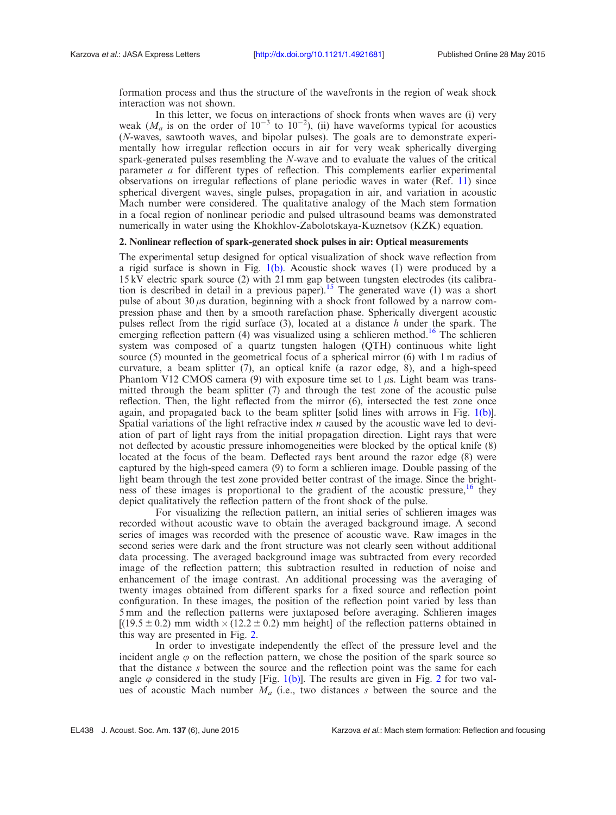formation process and thus the structure of the wavefronts in the region of weak shock interaction was not shown.

In this letter, we focus on interactions of shock fronts when waves are (i) very weak ( $M_a$  is on the order of  $10^{-3}$  to  $10^{-2}$ ), (ii) have waveforms typical for acoustics (N-waves, sawtooth waves, and bipolar pulses). The goals are to demonstrate experimentally how irregular reflection occurs in air for very weak spherically diverging spark-generated pulses resembling the N-wave and to evaluate the values of the critical parameter a for different types of reflection. This complements earlier experimental observations on irregular reflections of plane periodic waves in water (Ref. [11](#page-6-0)) since spherical divergent waves, single pulses, propagation in air, and variation in acoustic Mach number were considered. The qualitative analogy of the Mach stem formation in a focal region of nonlinear periodic and pulsed ultrasound beams was demonstrated numerically in water using the Khokhlov-Zabolotskaya-Kuznetsov (KZK) equation.

## 2. Nonlinear reflection of spark-generated shock pulses in air: Optical measurements

The experimental setup designed for optical visualization of shock wave reflection from a rigid surface is shown in Fig.  $1(b)$ . Acoustic shock waves (1) were produced by a 15 kV electric spark source (2) with 21 mm gap between tungsten electrodes (its calibration is described in detail in a previous paper).<sup>15</sup> The generated wave (1) was a short pulse of about  $30 \mu s$  duration, beginning with a shock front followed by a narrow compression phase and then by a smooth rarefaction phase. Spherically divergent acoustic pulses reflect from the rigid surface  $(3)$ , located at a distance h under the spark. The emerging reflection pattern  $(4)$  was visualized using a schlieren method.<sup>[16](#page-6-0)</sup> The schlieren system was composed of a quartz tungsten halogen (QTH) continuous white light source (5) mounted in the geometrical focus of a spherical mirror (6) with 1 m radius of curvature, a beam splitter (7), an optical knife (a razor edge, 8), and a high-speed Phantom V12 CMOS camera (9) with exposure time set to  $1 \mu s$ . Light beam was transmitted through the beam splitter  $(7)$  and through the test zone of the acoustic pulse reflection. Then, the light reflected from the mirror (6), intersected the test zone once again, and propagated back to the beam splitter [solid lines with arrows in Fig.  $1(b)$ ]. Spatial variations of the light refractive index  $n$  caused by the acoustic wave led to deviation of part of light rays from the initial propagation direction. Light rays that were not deflected by acoustic pressure inhomogeneities were blocked by the optical knife (8) located at the focus of the beam. Deflected rays bent around the razor edge (8) were captured by the high-speed camera (9) to form a schlieren image. Double passing of the light beam through the test zone provided better contrast of the image. Since the brightness of these images is proportional to the gradient of the acoustic pressure,  $\frac{16}{16}$  they depict qualitatively the reflection pattern of the front shock of the pulse.

For visualizing the reflection pattern, an initial series of schlieren images was recorded without acoustic wave to obtain the averaged background image. A second series of images was recorded with the presence of acoustic wave. Raw images in the second series were dark and the front structure was not clearly seen without additional data processing. The averaged background image was subtracted from every recorded image of the reflection pattern; this subtraction resulted in reduction of noise and enhancement of the image contrast. An additional processing was the averaging of twenty images obtained from different sparks for a fixed source and reflection point configuration. In these images, the position of the reflection point varied by less than 5 mm and the reflection patterns were juxtaposed before averaging. Schlieren images  $[(19.5 \pm 0.2)$  mm width  $\times$  (12.2  $\pm$  0.2) mm height] of the reflection patterns obtained in this way are presented in Fig. [2](#page-3-0).

In order to investigate independently the effect of the pressure level and the incident angle  $\varphi$  on the reflection pattern, we chose the position of the spark source so that the distance s between the source and the reflection point was the same for each angle  $\varphi$  considered in the study [Fig. [1\(b\)\]](#page-1-0). The results are given in Fig. [2](#page-3-0) for two values of acoustic Mach number  $M_a$  (i.e., two distances s between the source and the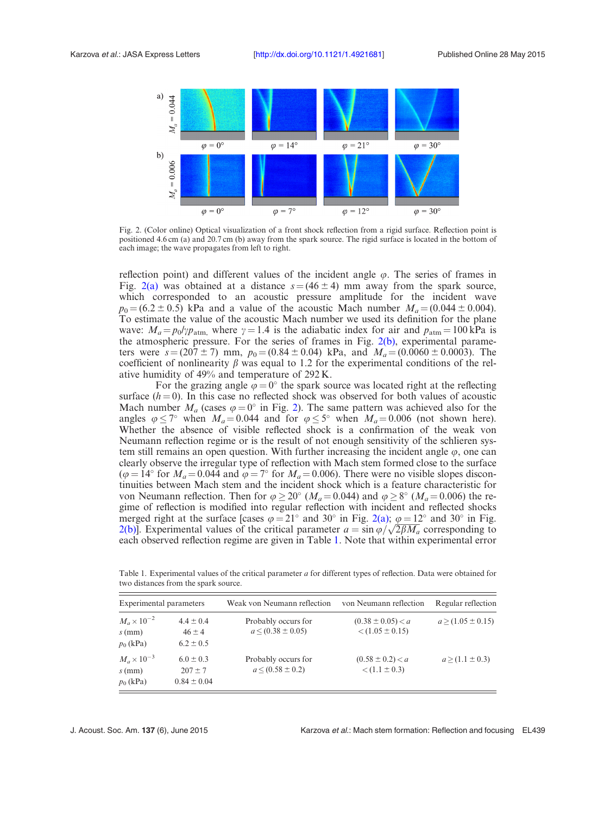<span id="page-3-0"></span>

Fig. 2. (Color online) Optical visualization of a front shock reflection from a rigid surface. Reflection point is positioned 4.6 cm (a) and 20.7 cm (b) away from the spark source. The rigid surface is located in the bottom of each image; the wave propagates from left to right.

reflection point) and different values of the incident angle  $\varphi$ . The series of frames in Fig. 2(a) was obtained at a distance  $s = (46 \pm 4)$  mm away from the spark source, which corresponded to an acoustic pressure amplitude for the incident wave  $p_0 = (6.2 \pm 0.5)$  kPa and a value of the acoustic Mach number  $M_a = (0.044 \pm 0.004)$ . To estimate the value of the acoustic Mach number we used its definition for the plane wave:  $M_a = p_0/\gamma p_{\text{atm}}$ , where  $\gamma = 1.4$  is the adiabatic index for air and  $p_{\text{atm}} = 100 \text{ kPa}$  is the atmospheric pressure. For the series of frames in Fig. 2(b), experimental parameters were  $s = (207 \pm 7)$  mm,  $p_0 = (0.84 \pm 0.04)$  kPa, and  $M_a = (0.0060 \pm 0.0003)$ . The coefficient of nonlinearity  $\beta$  was equal to 1.2 for the experimental conditions of the relative humidity of 49% and temperature of 292 K.

For the grazing angle  $\varphi = 0^{\circ}$  the spark source was located right at the reflecting surface  $(h = 0)$ . In this case no reflected shock was observed for both values of acoustic Mach number  $M_a$  (cases  $\varphi = 0^\circ$  in Fig. 2). The same pattern was achieved also for the angles  $\varphi \le 7^{\circ}$  when  $M_a = 0.044$  and for  $\varphi \le 5^{\circ}$  when  $M_a = 0.006$  (not shown here). Whether the absence of visible reflected shock is a confirmation of the weak von Neumann reflection regime or is the result of not enough sensitivity of the schlieren system still remains an open question. With further increasing the incident angle  $\varphi$ , one can clearly observe the irregular type of reflection with Mach stem formed close to the surface ( $\varphi = 14^{\circ}$  for  $M_a = 0.044$  and  $\varphi = 7^{\circ}$  for  $M_a = 0.006$ ). There were no visible slopes discontinuities between Mach stem and the incident shock which is a feature characteristic for von Neumann reflection. Then for  $\varphi \ge 20^{\circ}$  ( $M_a = 0.044$ ) and  $\varphi \ge 8^{\circ}$  ( $M_a = 0.006$ ) the regime of reflection is modified into regular reflection with incident and reflected shocks merged right at the surface [cases  $\varphi = 21^{\circ}$  and 30° in Fig. 2(a);  $\varphi = 12^{\circ}$  and 30° in Fig. merged right at the surface [cases  $\varphi = 21^\circ$  and 30° in Fig. 2(a);  $\varphi = 12^\circ$  and 30° in Fig. 2(b)]. Experimental values of the critical parameter  $a = \sin \varphi / \sqrt{2 \beta M_a}$  corresponding to each observed reflection regime are given in Table 1. Note that within experimental error

Table 1. Experimental values of the critical parameter  $a$  for different types of reflection. Data were obtained for two distances from the spark source.

| Experimental parameters                         |                                                 | Weak von Neumann reflection                    | von Neumann reflection                       | Regular reflection    |
|-------------------------------------------------|-------------------------------------------------|------------------------------------------------|----------------------------------------------|-----------------------|
| $M_a \times 10^{-2}$<br>$s$ (mm)<br>$p_0$ (kPa) | $4.4 \pm 0.4$<br>$46 \pm 4$<br>$6.2 \pm 0.5$    | Probably occurs for<br>$a \le (0.38 \pm 0.05)$ | $(0.38 \pm 0.05) < a$<br>$< (1.05 \pm 0.15)$ | $a > (1.05 \pm 0.15)$ |
| $M_a \times 10^{-3}$<br>$s$ (mm)<br>$p_0$ (kPa) | $6.0 \pm 0.3$<br>$207 \pm 7$<br>$0.84 \pm 0.04$ | Probably occurs for<br>$a \le (0.58 \pm 0.2)$  | $(0.58 \pm 0.2) < a$<br>$< (1.1 \pm 0.3)$    | $a > (1.1 \pm 0.3)$   |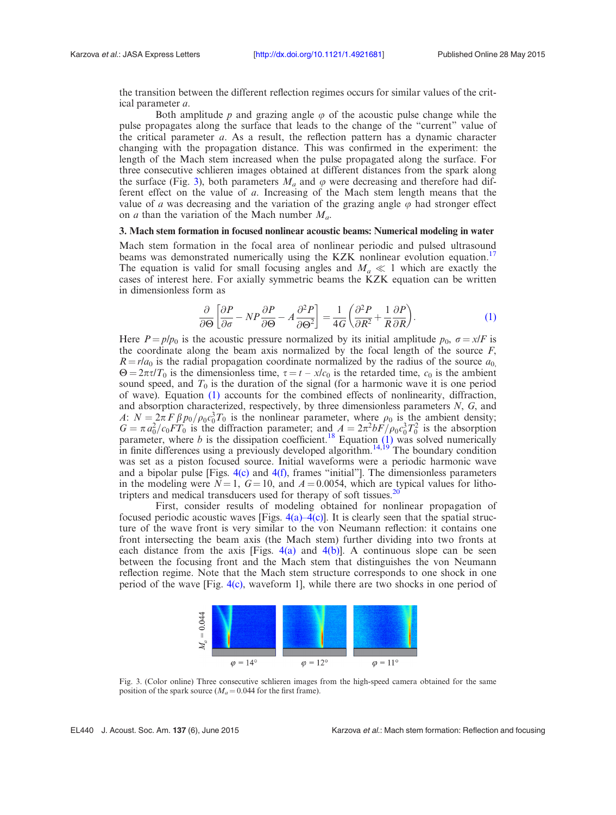the transition between the different reflection regimes occurs for similar values of the critical parameter a.

Both amplitude p and grazing angle  $\varphi$  of the acoustic pulse change while the pulse propagates along the surface that leads to the change of the "current" value of the critical parameter  $a$ . As a result, the reflection pattern has a dynamic character changing with the propagation distance. This was confirmed in the experiment: the length of the Mach stem increased when the pulse propagated along the surface. For three consecutive schlieren images obtained at different distances from the spark along the surface (Fig. 3), both parameters  $M_a$  and  $\varphi$  were decreasing and therefore had different effect on the value of a. Increasing of the Mach stem length means that the value of a was decreasing and the variation of the grazing angle  $\varphi$  had stronger effect on *a* than the variation of the Mach number  $M_a$ .

# 3. Mach stem formation in focused nonlinear acoustic beams: Numerical modeling in water

Mach stem formation in the focal area of nonlinear periodic and pulsed ultrasound beams was demonstrated numerically using the KZK nonlinear evolution equation.<sup>[17](#page-6-0)</sup> The equation is valid for small focusing angles and  $M_a \ll 1$  which are exactly the cases of interest here. For axially symmetric beams the KZK equation can be written in dimensionless form as

$$
\frac{\partial}{\partial \Theta} \left[ \frac{\partial P}{\partial \sigma} - NP \frac{\partial P}{\partial \Theta} - A \frac{\partial^2 P}{\partial \Theta^2} \right] = \frac{1}{4G} \left( \frac{\partial^2 P}{\partial R^2} + \frac{1}{R} \frac{\partial P}{\partial R} \right).
$$
(1)

Here  $P = p/p_0$  is the acoustic pressure normalized by its initial amplitude  $p_0$ ,  $\sigma = x/F$  is the coordinate along the beam axis normalized by the focal length of the source  $F$ ,  $R = r/a_0$  is the radial propagation coordinate normalized by the radius of the source  $a_0$  $\Theta = 2\pi\tau/T_0$  is the dimensionless time,  $\tau = t - x/c_0$  is the retarded time,  $c_0$  is the ambient sound speed, and  $T_0$  is the duration of the signal (for a harmonic wave it is one period of wave). Equation (1) accounts for the combined effects of nonlinearity, diffraction, and absorption characterized, respectively, by three dimensionless parameters N, G, and A:  $N = 2\pi F \beta p_0/\rho_0 c_0^3 T_0$  is the nonlinear parameter, where  $\rho_0$  is the ambient density;  $G = \pi a_0^2/c_0FT_0$  is the diffraction parameter; and  $A = 2\pi^2 bF/\rho_0 c_0^3 T_0^2$  is the absorption parameter, where b is the dissipation coefficient.<sup>[18](#page-6-0)</sup> Equation  $(1)$  was solved numerically in finite differences using a previously developed algorithm.<sup>14,19</sup> The boundary condition was set as a piston focused source. Initial waveforms were a periodic harmonic wave and a bipolar pulse [Figs.  $4(c)$  and  $4(f)$ , frames "initial"]. The dimensionless parameters in the modeling were  $N = 1$ ,  $G = 10$ , and  $A = 0.0054$ , which are typical values for lithotripters and medical transducers used for therapy of soft tissues.<sup>20</sup>

First, consider results of modeling obtained for nonlinear propagation of focused periodic acoustic waves [Figs.  $4(a)$ - $4(c)$ ]. It is clearly seen that the spatial structure of the wave front is very similar to the von Neumann reflection: it contains one front intersecting the beam axis (the Mach stem) further dividing into two fronts at each distance from the axis [Figs. [4\(a\)](#page-5-0) and [4\(b\)\]](#page-5-0). A continuous slope can be seen between the focusing front and the Mach stem that distinguishes the von Neumann reflection regime. Note that the Mach stem structure corresponds to one shock in one period of the wave [Fig.  $4(c)$ , waveform 1], while there are two shocks in one period of



Fig. 3. (Color online) Three consecutive schlieren images from the high-speed camera obtained for the same position of the spark source ( $M_a = 0.044$  for the first frame).

EL440 J. Acoust. Soc. Am. 137 (6), June 2015 Karzova et al.: Mach stem formation: Reflection and focusing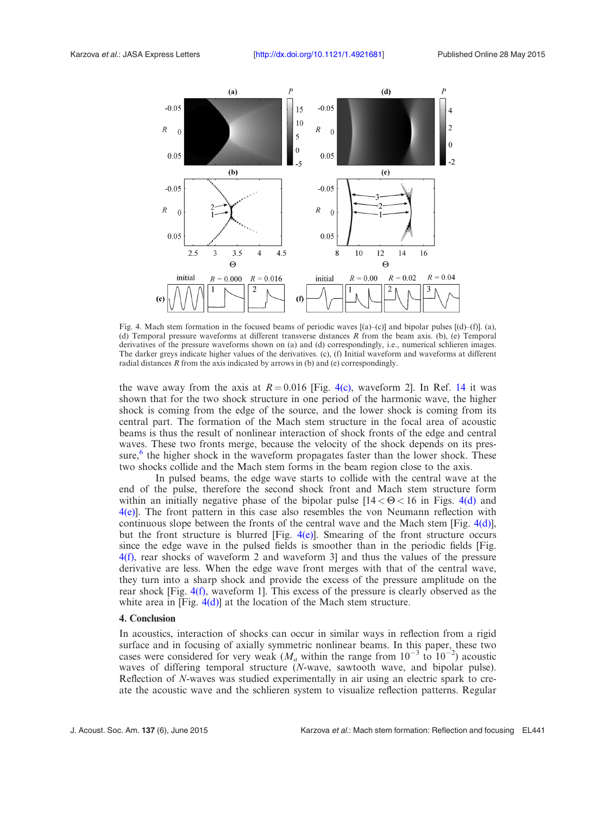<span id="page-5-0"></span>

Fig. 4. Mach stem formation in the focused beams of periodic waves [(a)–(c)] and bipolar pulses [(d)–(f)]. (a), (d) Temporal pressure waveforms at different transverse distances R from the beam axis. (b), (e) Temporal derivatives of the pressure waveforms shown on (a) and (d) correspondingly, i.e., numerical schlieren images. The darker greys indicate higher values of the derivatives. (c), (f) Initial waveform and waveforms at different radial distances  $R$  from the axis indicated by arrows in (b) and (e) correspondingly.

the wave away from the axis at  $R = 0.016$  [Fig. 4(c), waveform 2]. In Ref. [14](#page-6-0) it was shown that for the two shock structure in one period of the harmonic wave, the higher shock is coming from the edge of the source, and the lower shock is coming from its central part. The formation of the Mach stem structure in the focal area of acoustic beams is thus the result of nonlinear interaction of shock fronts of the edge and central waves. These two fronts merge, because the velocity of the shock depends on its pressure, $6$  the higher shock in the waveform propagates faster than the lower shock. These two shocks collide and the Mach stem forms in the beam region close to the axis.

In pulsed beams, the edge wave starts to collide with the central wave at the end of the pulse, therefore the second shock front and Mach stem structure form within an initially negative phase of the bipolar pulse  $[14 < \Theta < 16$  in Figs. 4(d) and 4(e)]. The front pattern in this case also resembles the von Neumann reflection with continuous slope between the fronts of the central wave and the Mach stem [Fig.  $4(d)$ ], but the front structure is blurred [Fig.  $4(e)$ ]. Smearing of the front structure occurs since the edge wave in the pulsed fields is smoother than in the periodic fields [Fig. 4(f), rear shocks of waveform 2 and waveform 3] and thus the values of the pressure derivative are less. When the edge wave front merges with that of the central wave, they turn into a sharp shock and provide the excess of the pressure amplitude on the rear shock [Fig. 4(f), waveform 1]. This excess of the pressure is clearly observed as the white area in  $[Fig, 4(d)]$  at the location of the Mach stem structure.

### 4. Conclusion

In acoustics, interaction of shocks can occur in similar ways in reflection from a rigid surface and in focusing of axially symmetric nonlinear beams. In this paper, these two cases were considered for very weak ( $M_a$  within the range from  $10^{-3}$  to  $10^{-2}$ ) acoustic waves of differing temporal structure (N-wave, sawtooth wave, and bipolar pulse). Reflection of N-waves was studied experimentally in air using an electric spark to create the acoustic wave and the schlieren system to visualize reflection patterns. Regular